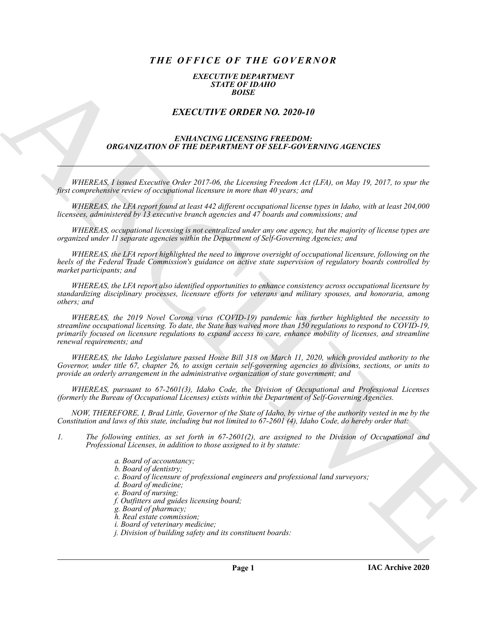# *THE OFFICE OF THE GOVERNOR*

#### *EXECUTIVE DEPARTMENT STATE OF IDAHO BOISE*

## *EXECUTIVE ORDER NO. 2020-10*

### *ENHANCING LICENSING FREEDOM: ORGANIZATION OF THE DEPARTMENT OF SELF-GOVERNING AGENCIES*

*WHEREAS, I issued Executive Order 2017-06, the Licensing Freedom Act (LFA), on May 19, 2017, to spur the first comprehensive review of occupational licensure in more than 40 years; and*

*WHEREAS, the LFA report found at least 442 different occupational license types in Idaho, with at least 204,000 licensees, administered by 13 executive branch agencies and 47 boards and commissions; and*

*WHEREAS, occupational licensing is not centralized under any one agency, but the majority of license types are organized under 11 separate agencies within the Department of Self-Governing Agencies; and*

*WHEREAS, the LFA report highlighted the need to improve oversight of occupational licensure, following on the heels of the Federal Trade Commission's guidance on active state supervision of regulatory boards controlled by market participants; and*

*WHEREAS, the LFA report also identified opportunities to enhance consistency across occupational licensure by standardizing disciplinary processes, licensure efforts for veterans and military spouses, and honoraria, among others; and*

**EXACTLY THE ORDER NO. 2020-10**<br>
EXACTLY THE ORDER NO. 2020-10<br>
EXACTLY THE ORDER NO. 2020-10<br>
EXACTLY THE ORDER NO. 2020-10<br>
ORGENIZATION OF THE DEFINITIES TO EXECUT EXPRESS<br>
(ARCHIVES ASSESSMENT CONTINUES) TO EXECUT CON *WHEREAS, the 2019 Novel Corona virus (COVID-19) pandemic has further highlighted the necessity to streamline occupational licensing. To date, the State has waived more than 150 regulations to respond to COVID-19, primarily focused on licensure regulations to expand access to care, enhance mobility of licenses, and streamline renewal requirements; and*

*WHEREAS, the Idaho Legislature passed House Bill 318 on March 11, 2020, which provided authority to the Governor, under title 67, chapter 26, to assign certain self-governing agencies to divisions, sections, or units to provide an orderly arrangement in the administrative organization of state government; and*

*WHEREAS, pursuant to 67-2601(3), Idaho Code, the Division of Occupational and Professional Licenses (formerly the Bureau of Occupational Licenses) exists within the Department of Self-Governing Agencies.*

*NOW, THEREFORE, I, Brad Little, Governor of the State of Idaho, by virtue of the authority vested in me by the Constitution and laws of this state, including but not limited to 67-2601 (4), Idaho Code, do hereby order that:*

- *1. The following entities, as set forth in 67-2601(2), are assigned to the Division of Occupational and Professional Licenses, in addition to those assigned to it by statute:*
	- *a. Board of accountancy;*
	- *b. Board of dentistry;*
	- *c. Board of licensure of professional engineers and professional land surveyors;*
	- *d. Board of medicine;*
	- *e. Board of nursing;*
	- *f. Outfitters and guides licensing board;*
	- *g. Board of pharmacy;*
	- *h. Real estate commission;*
	- *i. Board of veterinary medicine;*
	- *j. Division of building safety and its constituent boards:*